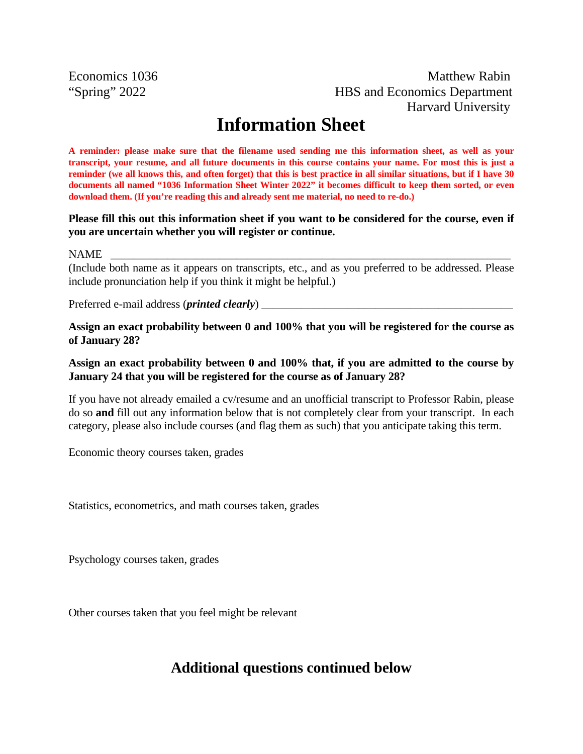Economics 1036 Matthew Rabin "Spring" 2022 HBS and Economics Department Harvard University

# **Information Sheet**

**A reminder: please make sure that the filename used sending me this information sheet, as well as your transcript, your resume, and all future documents in this course contains your name. For most this is just a reminder (we all knows this, and often forget) that this is best practice in all similar situations, but if I have 30 documents all named "1036 Information Sheet Winter 2022" it becomes difficult to keep them sorted, or even download them. (If you're reading this and already sent me material, no need to re-do.)** 

#### **Please fill this out this information sheet if you want to be considered for the course, even if you are uncertain whether you will register or continue.**

#### NAME \_\_\_\_\_\_\_\_\_\_\_\_\_\_\_\_\_\_\_\_\_\_\_\_\_\_\_\_\_\_\_\_\_\_\_\_\_\_\_\_\_\_\_\_\_\_\_\_\_\_\_\_\_\_\_\_\_\_\_\_\_\_\_\_\_\_\_\_\_\_

(Include both name as it appears on transcripts, etc., and as you preferred to be addressed. Please include pronunciation help if you think it might be helpful.)

Preferred e-mail address (*printed clearly*)

**Assign an exact probability between 0 and 100% that you will be registered for the course as of January 28?** 

### **Assign an exact probability between 0 and 100% that, if you are admitted to the course by January 24 that you will be registered for the course as of January 28?**

If you have not already emailed a cv/resume and an unofficial transcript to Professor Rabin, please do so **and** fill out any information below that is not completely clear from your transcript. In each category, please also include courses (and flag them as such) that you anticipate taking this term.

Economic theory courses taken, grades

Statistics, econometrics, and math courses taken, grades

Psychology courses taken, grades

Other courses taken that you feel might be relevant

## **Additional questions continued below**